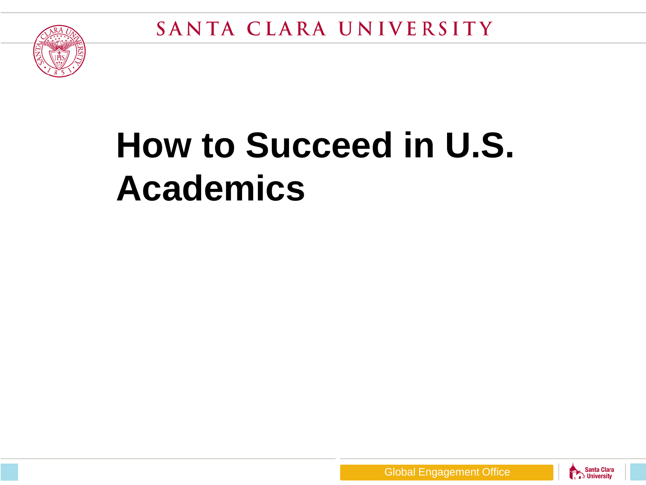



# **How to Succeed in U.S. Academics**



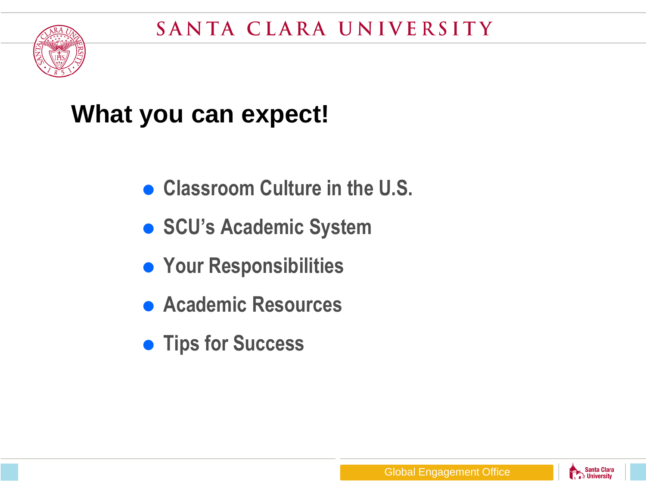

#### **What you can expect!**

- **Classroom Culture in the U.S.**
- **SCU's Academic System**
- **Your Responsibilities**
- **Academic Resources**
- **Tips for Success**

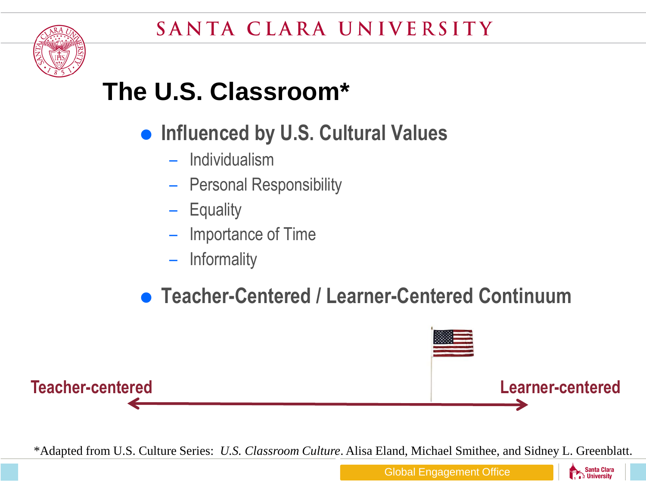

## **The U.S. Classroom\***

- **Influenced by U.S. Cultural Values** 
	- Individualism
	- Personal Responsibility
	- Equality
	- Importance of Time
	- Informality
- **Teacher-Centered / Learner-Centered Continuum**



\*Adapted from U.S. Culture Series: *U.S. Classroom Culture*. Alisa Eland, Michael Smithee, and Sidney L. Greenblatt.

**Santa Clara** University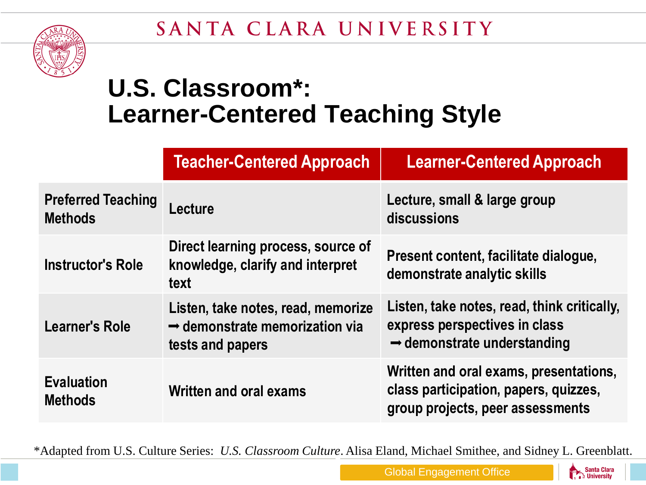#### SANTA CLARA UNIVERSITY



#### **U.S. Classroom\*: Learner-Centered Teaching Style**

|                                             | <b>Teacher-Centered Approach</b>                                                                     | <b>Learner-Centered Approach</b>                                                                                        |
|---------------------------------------------|------------------------------------------------------------------------------------------------------|-------------------------------------------------------------------------------------------------------------------------|
| <b>Preferred Teaching</b><br><b>Methods</b> | Lecture                                                                                              | Lecture, small & large group<br>discussions                                                                             |
| <b>Instructor's Role</b>                    | Direct learning process, source of<br>knowledge, clarify and interpret<br>text                       | Present content, facilitate dialogue,<br>demonstrate analytic skills                                                    |
| <b>Learner's Role</b>                       | Listen, take notes, read, memorize<br>$\rightarrow$ demonstrate memorization via<br>tests and papers | Listen, take notes, read, think critically,<br>express perspectives in class<br>$\rightarrow$ demonstrate understanding |
| <b>Evaluation</b><br><b>Methods</b>         | Written and oral exams                                                                               | Written and oral exams, presentations,<br>class participation, papers, quizzes,<br>group projects, peer assessments     |

\*Adapted from U.S. Culture Series: *U.S. Classroom Culture*. Alisa Eland, Michael Smithee, and Sidney L. Greenblatt.

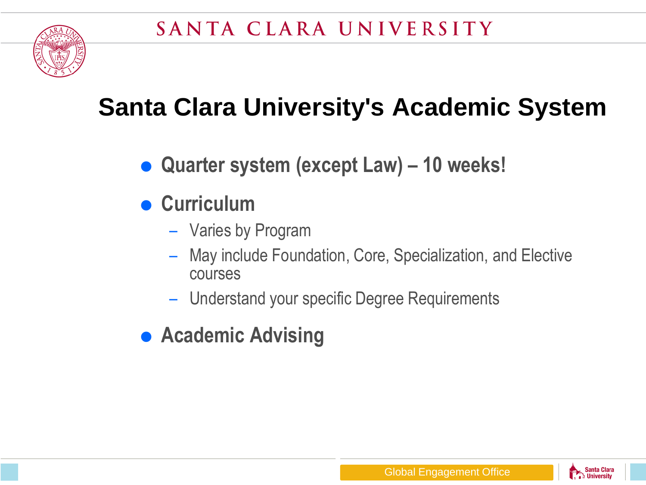

## **Santa Clara University's Academic System**

- **Quarter system (except Law) – 10 weeks!**
- **Curriculum**
	- Varies by Program
	- May include Foundation, Core, Specialization, and Elective courses
	- Understand your specific Degree Requirements
- **Academic Advising**

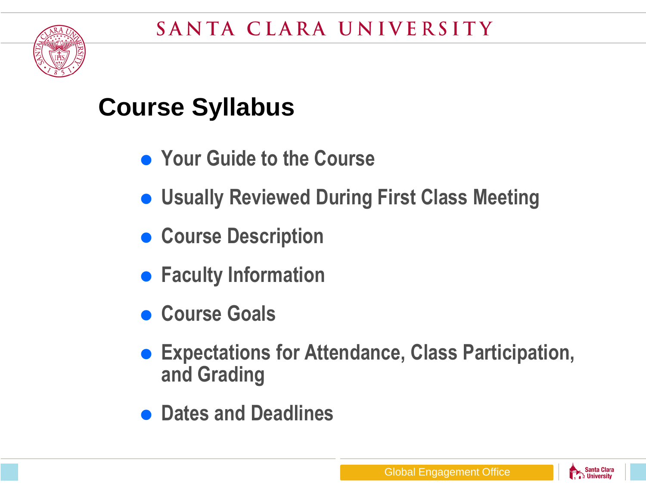

#### **Course Syllabus**

- **Your Guide to the Course**
- **Usually Reviewed During First Class Meeting**
- **Course Description**
- **Faculty Information**
- **Course Goals**
- **Expectations for Attendance, Class Participation, and Grading**
- **Dates and Deadlines**

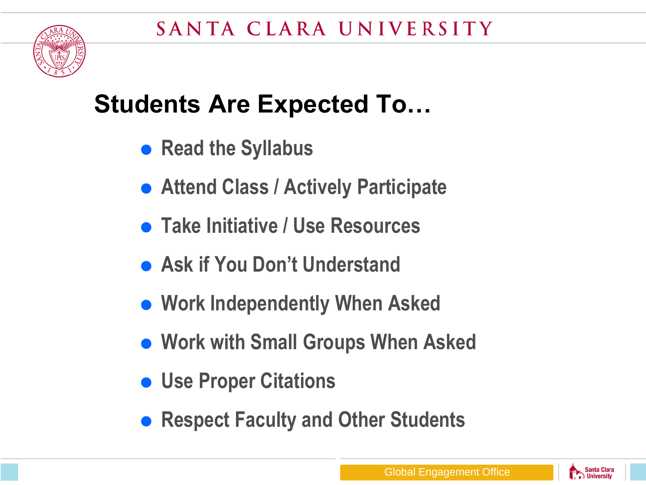

#### **Students Are Expected To…**

- **Read the Syllabus**
- **Attend Class / Actively Participate**
- **Take Initiative / Use Resources**
- **Ask if You Don't Understand**
- **Work Independently When Asked**
- **Work with Small Groups When Asked**
- **Use Proper Citations**
- **Respect Faculty and Other Students**

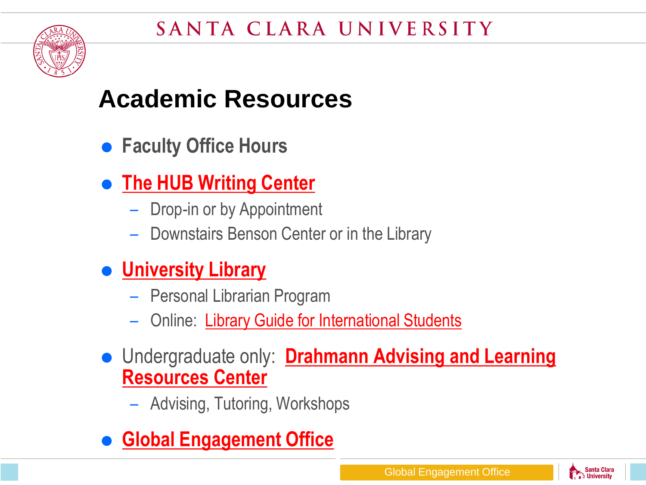

#### **Academic Resources**

- **Faculty Office Hours**
- **[The HUB Writing Center](https://www.scu.edu/provost/writingcenter/)**
	- Drop-in or by Appointment
	- Downstairs Benson Center or in the Library
- **[University Library](https://www.scu.edu/library/)**
	- Personal Librarian Program
	- Online: [Library Guide for International Students](http://libguides.scu.edu/international)
- Undergraduate only: **[Drahmann](https://www.scu.edu/drahmann/) [Advising and Learning](https://www.scu.edu/drahmann/)  [Resources Center](https://www.scu.edu/drahmann/)** 
	- Advising, Tutoring, Workshops
- **[Global Engagement Office](https://www.scu.edu/globalengagement/)**

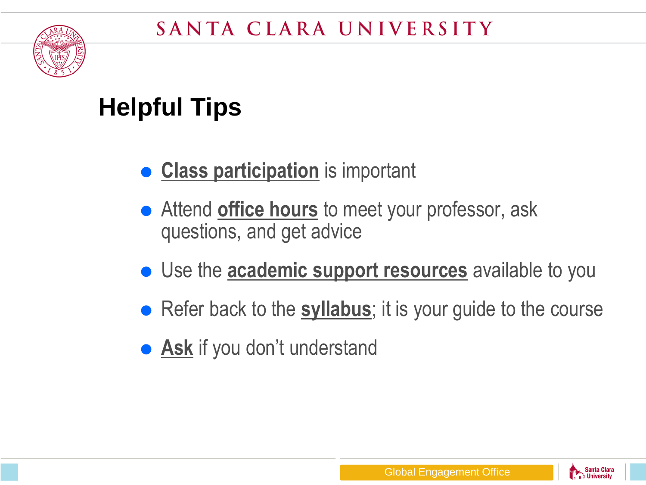

## **Helpful Tips**

- **Class participation** is important
- Attend **office hours** to meet your professor, ask questions, and get advice
- Use the **academic support resources** available to you
- Refer back to the **syllabus**; it is your guide to the course
- **Ask** if you don't understand